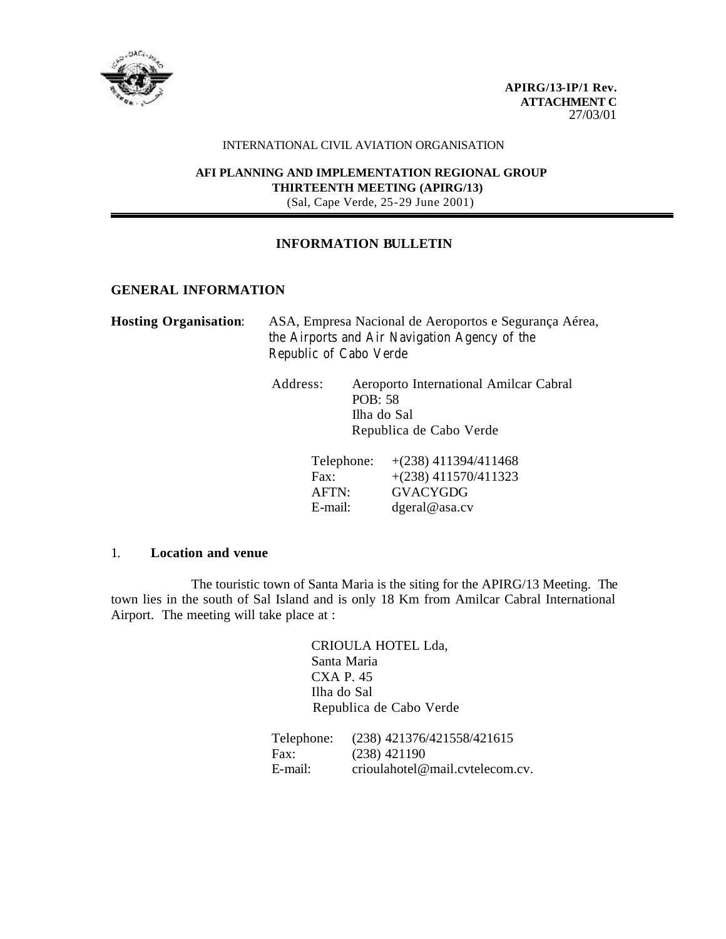

#### INTERNATIONAL CIVIL AVIATION ORGANISATION

#### **AFI PLANNING AND IMPLEMENTATION REGIONAL GROUP THIRTEENTH MEETING (APIRG/13)** (Sal, Cape Verde, 25-29 June 2001)

## **INFORMATION BULLETIN**

## **GENERAL INFORMATION**

| <b>Hosting Organisation:</b> | ASA, Empresa Nacional de Aeroportos e Segurança Aérea, |  |  |
|------------------------------|--------------------------------------------------------|--|--|
|                              | the Airports and Air Navigation Agency of the          |  |  |
|                              | Republic of Cabo Verde                                 |  |  |

| Aeroporto International Amilcar Cabral |
|----------------------------------------|
| POB: 58                                |
| Ilha do Sal                            |
| Republica de Cabo Verde                |
|                                        |

| Telephone: | $+(238)$ 411394/411468 |
|------------|------------------------|
| Fax:       | $+(238)$ 411570/411323 |
| AFTN:      | <b>GVACYGDG</b>        |
| E-mail:    | $degreeal@$ asa.cv     |

#### 1. **Location and venue**

The touristic town of Santa Maria is the siting for the APIRG/13 Meeting. The town lies in the south of Sal Island and is only 18 Km from Amilcar Cabral International Airport. The meeting will take place at :

> CRIOULA HOTEL Lda, Santa Maria CXA P. 45 Ilha do Sal Republica de Cabo Verde

Telephone: (238) 421376/421558/421615 Fax: (238) 421190 E-mail: crioulahotel@mail.cvtelecom.cv.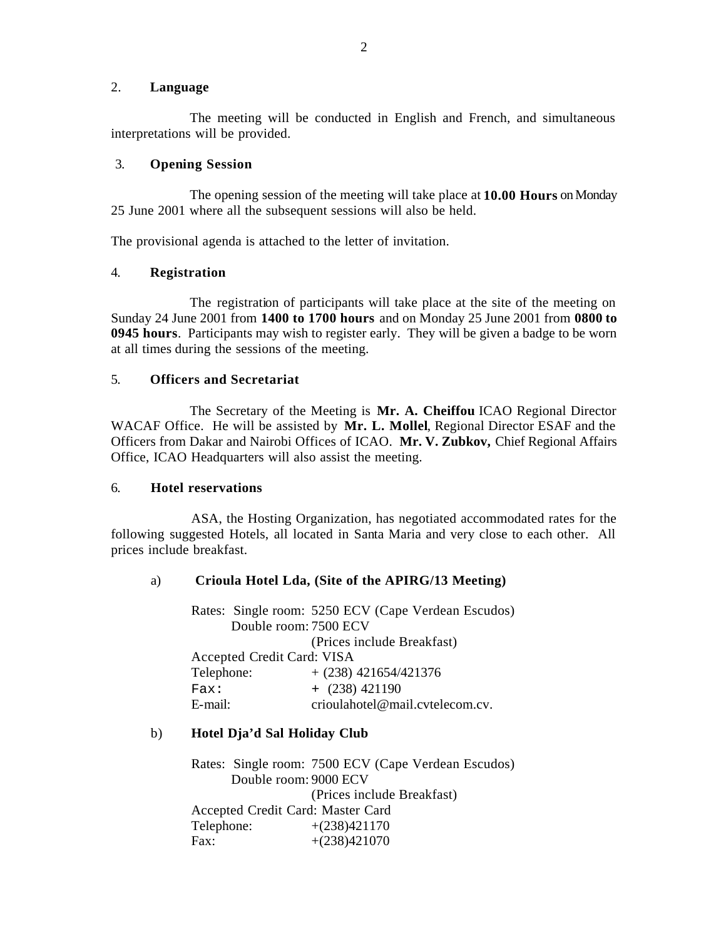## 2. **Language**

The meeting will be conducted in English and French, and simultaneous interpretations will be provided.

## 3. **Opening Session**

The opening session of the meeting will take place at **10.00 Hours** on Monday 25 June 2001 where all the subsequent sessions will also be held.

The provisional agenda is attached to the letter of invitation.

# 4. **Registration**

The registration of participants will take place at the site of the meeting on Sunday 24 June 2001 from **1400 to 1700 hours** and on Monday 25 June 2001 from **0800 to 0945 hours**. Participants may wish to register early. They will be given a badge to be worn at all times during the sessions of the meeting.

## 5. **Officers and Secretariat**

The Secretary of the Meeting is **Mr. A. Cheiffou** ICAO Regional Director WACAF Office. He will be assisted by **Mr. L. Mollel**, Regional Director ESAF and the Officers from Dakar and Nairobi Offices of ICAO. **Mr. V. Zubkov,** Chief Regional Affairs Office, ICAO Headquarters will also assist the meeting.

## 6. **Hotel reservations**

ASA, the Hosting Organization, has negotiated accommodated rates for the following suggested Hotels, all located in Santa Maria and very close to each other. All prices include breakfast.

# a) **Crioula Hotel Lda, (Site of the APIRG/13 Meeting)**

Rates: Single room: 5250 ECV (Cape Verdean Escudos) Double room: 7500 ECV (Prices include Breakfast) Accepted Credit Card: VISA Telephone:  $+ (238) 421654/421376$  $\text{Fax}: \quad + (238) \, 421190$ E-mail: crioulahotel@mail.cvtelecom.cv.

# b) **Hotel Dja'd Sal Holiday Club**

Rates: Single room: 7500 ECV (Cape Verdean Escudos) Double room: 9000 ECV (Prices include Breakfast) Accepted Credit Card: Master Card Telephone: +(238)421170<br>Fax: +(238)421070  $+(238)421070$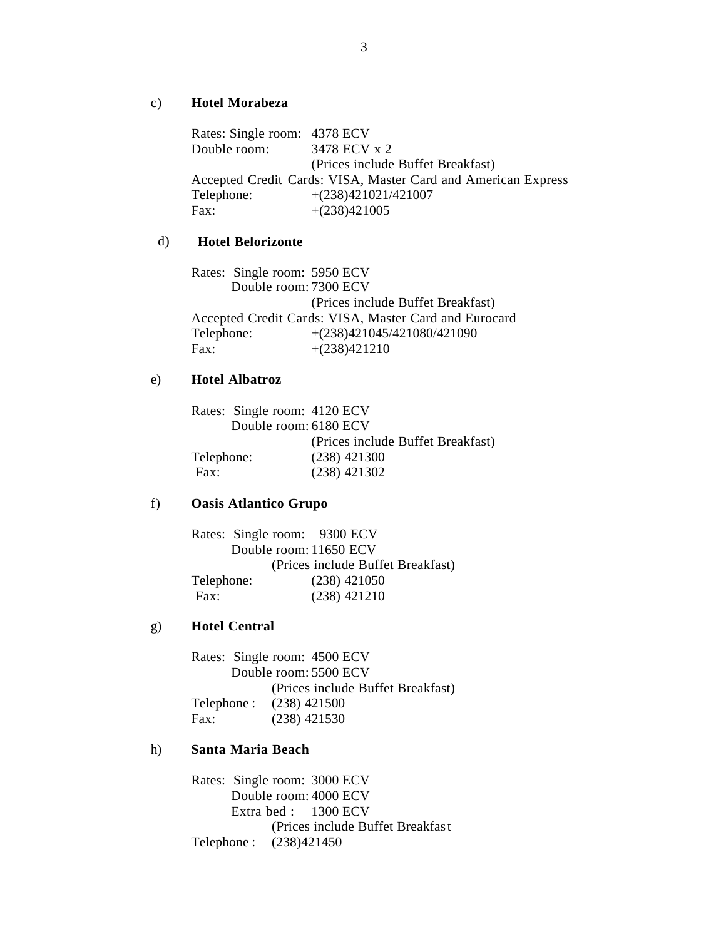#### c) **Hotel Morabeza**

Rates: Single room: 4378 ECV Double room: 3478 ECV x 2 (Prices include Buffet Breakfast) Accepted Credit Cards: VISA, Master Card and American Express Telephone: +(238)421021/421007 Fax:  $+(238)421005$ 

## d) **Hotel Belorizonte**

Rates: Single room: 5950 ECV Double room: 7300 ECV (Prices include Buffet Breakfast) Accepted Credit Cards: VISA, Master Card and Eurocard Telephone: +(238)421045/421080/421090 Fax:  $+(238)421210$ 

## e) **Hotel Albatroz**

Rates: Single room: 4120 ECV Double room: 6180 ECV (Prices include Buffet Breakfast) Telephone: (238) 421300 Fax: (238) 421302

#### f) **Oasis Atlantico Grupo**

Rates: Single room: 9300 ECV Double room: 11650 ECV (Prices include Buffet Breakfast) Telephone: (238) 421050 Fax: (238) 421210

## g) **Hotel Central**

Rates: Single room: 4500 ECV Double room: 5500 ECV (Prices include Buffet Breakfast) Telephone : (238) 421500 Fax: (238) 421530

## h) **Santa Maria Beach**

Rates: Single room: 3000 ECV Double room: 4000 ECV Extra bed : 1300 ECV (Prices include Buffet Breakfast Telephone : (238)421450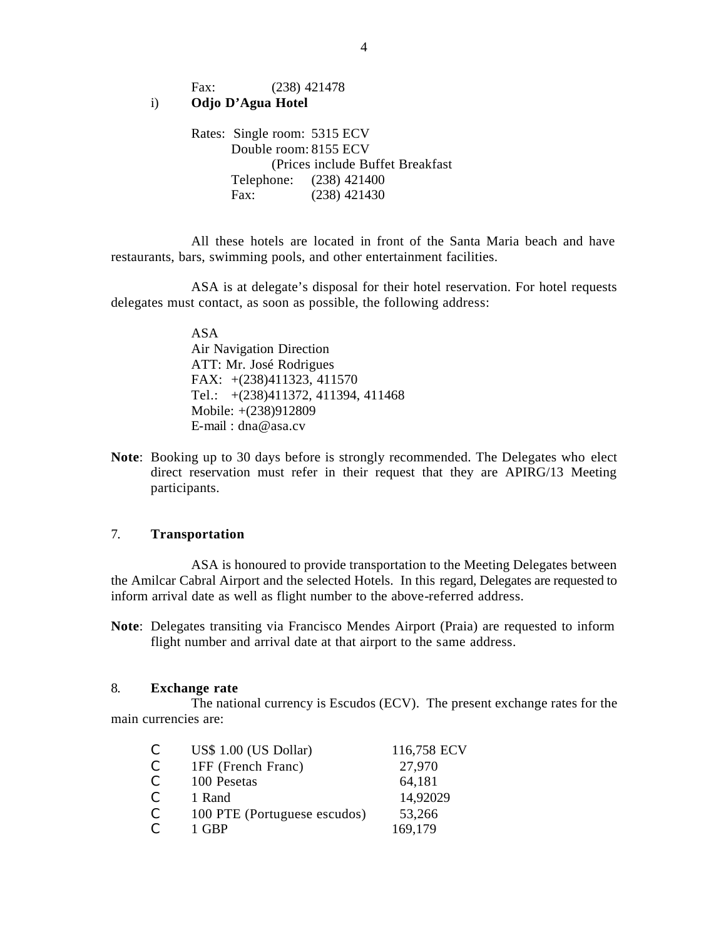Fax: (238) 421478

## i) **Odjo D'Agua Hotel**

Rates: Single room: 5315 ECV Double room: 8155 ECV (Prices include Buffet Breakfast Telephone: (238) 421400 Fax: (238) 421430

All these hotels are located in front of the Santa Maria beach and have restaurants, bars, swimming pools, and other entertainment facilities.

ASA is at delegate's disposal for their hotel reservation. For hotel requests delegates must contact, as soon as possible, the following address:

> ASA Air Navigation Direction ATT: Mr. José Rodrigues FAX: +(238)411323, 411570 Tel.: +(238)411372, 411394, 411468 Mobile: +(238)912809 E-mail : dna@asa.cv

**Note**: Booking up to 30 days before is strongly recommended. The Delegates who elect direct reservation must refer in their request that they are APIRG/13 Meeting participants.

## 7. **Transportation**

ASA is honoured to provide transportation to the Meeting Delegates between the Amilcar Cabral Airport and the selected Hotels. In this regard, Delegates are requested to inform arrival date as well as flight number to the above-referred address.

**Note**: Delegates transiting via Francisco Mendes Airport (Praia) are requested to inform flight number and arrival date at that airport to the same address.

#### 8. **Exchange rate**

The national currency is Escudos (ECV). The present exchange rates for the main currencies are:

| C  | US\$ 1.00 (US Dollar)        | 116,758 ECV |
|----|------------------------------|-------------|
| C. | 1FF (French Franc)           | 27,970      |
| C. | 100 Pesetas                  | 64,181      |
| C. | 1 Rand                       | 14,92029    |
| C. | 100 PTE (Portuguese escudos) | 53,266      |
|    | 1 GBP                        | 169,179     |